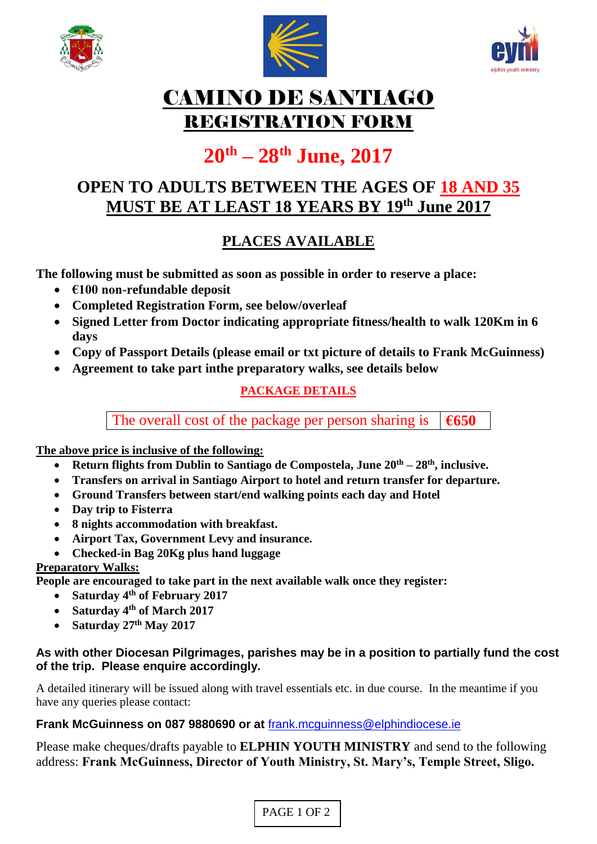





## CAMINO DE SANTIAGO REGISTRATION FORM

# **20th – 28th June, 2017**

## **OPEN TO ADULTS BETWEEN THE AGES OF 18 AND 35 MUST BE AT LEAST 18 YEARS BY 19th June 2017**

## **PLACES AVAILABLE**

**The following must be submitted as soon as possible in order to reserve a place:**

- **€100 non-refundable deposit**
- **Completed Registration Form, see below/overleaf**
- **Signed Letter from Doctor indicating appropriate fitness/health to walk 120Km in 6 days**
- **Copy of Passport Details (please email or txt picture of details to Frank McGuinness)**
- **Agreement to take part inthe preparatory walks, see details below**

### **PACKAGE DETAILS**

The overall cost of the package per person sharing is  $\left| \right|$  **€650** 

**The above price is inclusive of the following:**

- **Return flights from Dublin to Santiago de Compostela, June 20th – 28th , inclusive.**
- **Transfers on arrival in Santiago Airport to hotel and return transfer for departure.**
- **Ground Transfers between start/end walking points each day and Hotel**
- **Day trip to Fisterra**
- **8 nights accommodation with breakfast.**
- **Airport Tax, Government Levy and insurance.**
- **Checked-in Bag 20Kg plus hand luggage**

#### **Preparatory Walks:**

**People are encouraged to take part in the next available walk once they register:**

- **Saturday 4th of February 2017**
- **Saturday 4th of March 2017**
- **Saturday 27th May 2017**

#### **As with other Diocesan Pilgrimages, parishes may be in a position to partially fund the cost of the trip. Please enquire accordingly.**

A detailed itinerary will be issued along with travel essentials etc. in due course. In the meantime if you have any queries please contact:

#### **Frank McGuinness on 087 9880690 or at** [frank.mcguinness@elphindiocese.ie](mailto:frank.mcguinness@elphindiocese.ie)

Please make cheques/drafts payable to **ELPHIN YOUTH MINISTRY** and send to the following address: **Frank McGuinness, Director of Youth Ministry, St. Mary's, Temple Street, Sligo.**

PAGE 1 OF 2